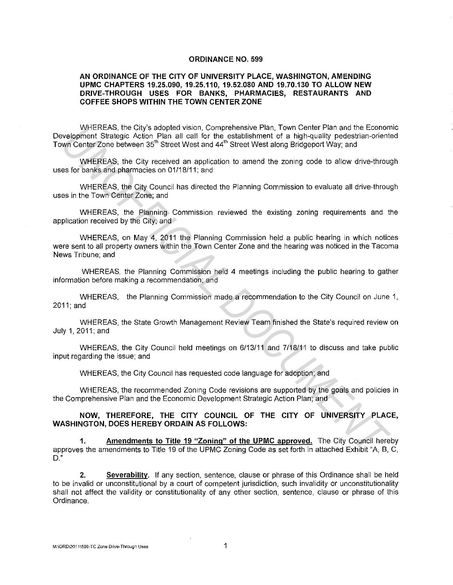#### **ORDINANCE NO. 599**

#### **AN ORDINANCE OF THE CITY OF UNIVERSITY PLACE, WASHINGTON, AMENDING UPMC CHAPTERS 19.25.090, 19.25.110, 19.52.080 AND 19.70.130 TO ALLOW NEW DRIVE-THROUGH USES FOR BANKS, PHARMACIES, RESTAURANTS AND COFFEE SHOPS WITHIN THE TOWN CENTER ZONE**

WHEREAS, the City's adopted vision, Comprehensive Plan, Town Center Plan and the Economic Development Strategic Action Plan all call for the establishment of a high-quality pedestrian-oriented Town Center Zone between 35'h Street West and 44'h Street West along Bridgeport Way; and

WHEREAS, the City received an application to amend the zoning code to allow drive-through uses for banks and pharmacies on 01/18/11; and

WHEREAS, the City Council has directed the Planning Commission to evaluate all drive-through uses in the Town Center Zone; and

WHEREAS, the Planning Commission reviewed the existing zoning requirements and the application received by the City; and

WHEREAS, on May 4, 2011 the Planning Commission held a public hearing in which notices were sent to all property owners within the Town Center Zone and the hearing was noticed in the Tacoma News Tribune; and Welfer Many solopted vision Comprehensive Many Comprehensive Many Comprehensive Many Comprehensive Many Comprehensive Many Comprehensive Comprehensive Comprehensive Comprehensive Comprehensive Comprehensive Comprehensive C

WHEREAS, the Planning Commission held 4 meetings including the public hearing to gather information before making a recommendation; and

WHEREAS, the Planning Commission made a recommendation to the City Council on June 1, 2011;and

WHEREAS, the State Growth Management Review Team finished the State's required review on July 1, 2011; and

WHEREAS, the City Council held meetings on 6/13/11 and 7/18/11 to discuss and take public input regarding the issue; and

WHEREAS, the City Council has requested code language for adoption; and

WHEREAS, the recommended Zoning Code revisions are supported by the goals and policies in the Comprehensive Plan and the Economic Development Strategic Action Plan; and

**NOW, THEREFORE, THE CITY COUNCIL OF THE CITY OF UNIVERSITY PLACE, WASHINGTON, DOES HEREBY ORDAIN AS FOLLOWS:** 

**1. Amendments to Title 19 "Zoning" of the UPMC approved.** The City Council hereby approves the amendments to Title 19 of the UPMC Zoning Code as set forth in attached Exhibit "A, B, C,  $D.$ 

**2. Severability.** If any section, sentence, clause or phrase of this Ordinance shall be held to be invalid or unconstitutional by a court of competent jurisdiction, such invalidity or unconstitutionality shall not affect the validity or constitutionality of any other section, sentence, clause or phrase of this Ordinance.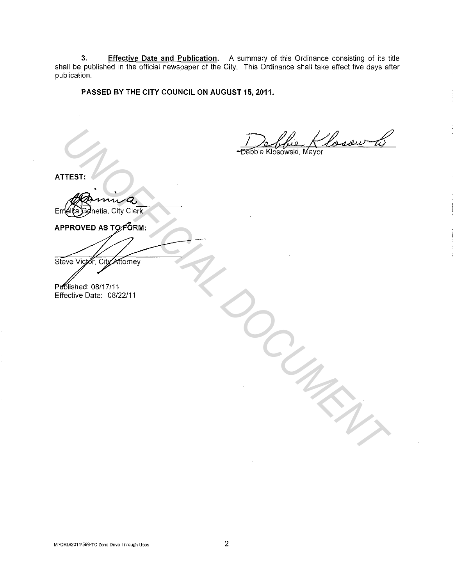**3. Effective Date and Publication.** A summary of this Ordinance consisting of its title shall be published in the official newspaper of the City. This Ordinance shall take effect five days after publication.

**PASSED BY THE CITY COUNCIL ON AUGUST 15, 2011.** 

Debbie Klosow (1)

**ATTEST:** 

Emelita Genetia, City Clerk

TEST: 1<br>
TEST: 1<br>
TEST: 2 CHO COMPANY<br> **PROVED AS TO FORM:**<br>
FIRENCE ON THE COMPANY<br>
FIRENCE ON THE COMPANY<br>
FIRENCE ON THE COMPANY<br>
COMPANY ON THE COMPANY OF THE COMPANY OF THE COMPANY OF THE COMPANY OF THE COMPANY OF THE

Published: 08/17/11 Effective Date: 08/22/11

**M·\QRD\2011\599-TC Zone Drive-Through Uses**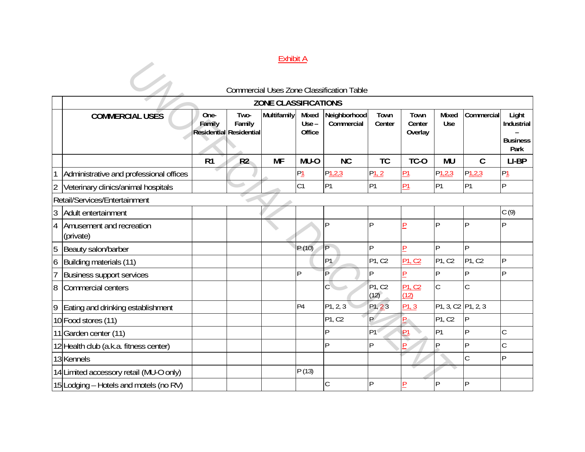### Exhibit A

|                | <b>Exhibit A</b>                        |                |                                                  |             |                            |                                                  |                |                                 |                    |                    |                                                |
|----------------|-----------------------------------------|----------------|--------------------------------------------------|-------------|----------------------------|--------------------------------------------------|----------------|---------------------------------|--------------------|--------------------|------------------------------------------------|
|                |                                         |                |                                                  |             |                            | <b>Commercial Uses Zone Classification Table</b> |                |                                 |                    |                    |                                                |
|                | <b>ZONE CLASSIFICATIONS</b>             |                |                                                  |             |                            |                                                  |                |                                 |                    |                    |                                                |
|                | <b>COMMERCIAL USES</b>                  | One-<br>Family | Two-<br>Family<br><b>Residential Residential</b> | Multifamily | Mixed<br>$Use -$<br>Office | Neighborhood<br>Commercial                       | Town<br>Center | Town<br>Center<br>Overlay       | Mixed<br>Use       | Commercial         | Light<br>Industrial<br><b>Business</b><br>Park |
|                |                                         | R <sub>1</sub> | R <sub>2</sub>                                   | <b>MF</b>   | MU-O                       | <b>NC</b>                                        | <b>TC</b>      | TC-O                            | <b>MU</b>          | $\mathcal{C}$      | LI-BP                                          |
|                | Administrative and professional offices |                |                                                  |             | P1                         | P1,2,3                                           | $P_1, 2$       | Р1                              | $P_{1,2,3}$        | P <sub>1,2,3</sub> | $P_1$                                          |
| $\overline{2}$ | Veterinary clinics/animal hospitals     |                |                                                  |             | C1                         | P <sub>1</sub>                                   | P <sub>1</sub> | P <sub>1</sub>                  | P <sub>1</sub>     | P <sub>1</sub>     | P                                              |
|                | Retail/Services/Entertainment           |                |                                                  |             |                            |                                                  |                |                                 |                    |                    |                                                |
| 3              | Adult entertainment                     |                |                                                  |             |                            |                                                  |                |                                 |                    |                    | C(9)                                           |
| $\overline{4}$ | Amusement and recreation<br>(private)   |                |                                                  |             |                            | IP                                               | P              |                                 | D                  | P                  | P                                              |
| 5              | Beauty salon/barber                     |                |                                                  |             | P(10)                      | IP                                               | <b>IP</b>      | Þ                               | <b>p</b>           | lp.                |                                                |
| $\overline{6}$ | Building materials (11)                 |                |                                                  |             |                            | P1                                               | P1, C2         | P <sub>1</sub> , C <sub>2</sub> | P1, C2             | P1, C2             | P                                              |
| 17             | Business support services               |                |                                                  |             | D                          | IP                                               | P              |                                 | D                  | D                  | P                                              |
| $\overline{8}$ | Commercial centers                      |                |                                                  |             |                            | $\mathsf{C}^{\backslash}$                        | P1, C2<br>(12) | P1, C2<br>(12)                  | $\mathsf C$        | $\mathsf C$        |                                                |
| 9              | Eating and drinking establishment       |                |                                                  |             | P <sub>4</sub>             | P1, 2, 3                                         | P1, 23         | P1, 3                           | P1, 3, C2 P1, 2, 3 |                    |                                                |
|                | 10 Food stores (11)                     |                |                                                  |             |                            | P1, C2                                           | P              |                                 | P1, C2             | lp.                |                                                |
|                | 11 Garden center (11)                   |                |                                                  |             |                            | IP                                               | P <sub>1</sub> | P1                              | P <sub>1</sub>     | P                  | C                                              |
|                | 12 Health club (a.k.a. fitness center)  |                |                                                  |             |                            | IP                                               | P              |                                 | D                  | Þ                  | C                                              |
|                | 13 Kennels                              |                |                                                  |             |                            |                                                  |                |                                 |                    | $\mathsf C$        | P                                              |
|                | 14 Limited accessory retail (MU-O only) |                |                                                  |             | P(13)                      |                                                  |                |                                 |                    |                    |                                                |
|                | 15 Lodging - Hotels and motels (no RV)  |                |                                                  |             |                            |                                                  | D              |                                 | D                  | D                  |                                                |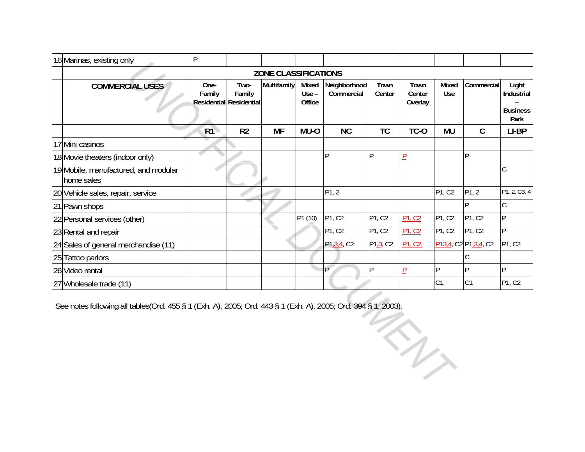| 16 Marinas, existing only                                                                                      | $\vert P \vert$ |                                           |             |                            |                            |                |                                 |              |                                                                        |                                                |
|----------------------------------------------------------------------------------------------------------------|-----------------|-------------------------------------------|-------------|----------------------------|----------------------------|----------------|---------------------------------|--------------|------------------------------------------------------------------------|------------------------------------------------|
| <b>ZONE CLASSIFICATIONS</b>                                                                                    |                 |                                           |             |                            |                            |                |                                 |              |                                                                        |                                                |
| <b>COMMERCIAL USES</b>                                                                                         | One-<br>Family  | Two-<br>Family<br>Residential Residential | Multifamily | Mixed<br>$Use -$<br>Office | Neighborhood<br>Commercial | Town<br>Center | Town<br>Center<br>Overlay       | Mixed<br>Use | Commercial                                                             | Light<br>Industrial<br><b>Business</b><br>Park |
|                                                                                                                | R1              | R <sub>2</sub>                            | <b>MF</b>   | MU-O                       | <b>NC</b>                  | <b>TC</b>      | TC-O                            | <b>MU</b>    | $\mathcal{C}$                                                          | LI-BP                                          |
| 17 Mini casinos                                                                                                |                 |                                           |             |                            |                            |                |                                 |              |                                                                        |                                                |
| 18 Movie theaters (indoor only)                                                                                |                 |                                           |             |                            | ΙP                         | P              | P                               |              | Þ                                                                      |                                                |
| 19 Mobile, manufactured, and modular<br>home sales                                                             |                 |                                           |             |                            |                            |                |                                 |              |                                                                        | $\mathsf{C}$                                   |
| 20 Vehicle sales, repair, service                                                                              |                 |                                           |             |                            | P1, 2                      |                |                                 | P1, C2       | P1, 2                                                                  | P1, 2, C3, 4                                   |
| 21 Pawn shops                                                                                                  |                 |                                           |             |                            |                            |                |                                 |              | D                                                                      | $\mathsf{C}$                                   |
| 22 Personal services (other)                                                                                   |                 |                                           |             | P1 (10)                    | PI, C2                     | P1, C2         | P <sub>1</sub> , C <sub>2</sub> | P1, C2       | P1, C2                                                                 | lP.                                            |
| 23 Rental and repair                                                                                           |                 |                                           |             |                            | P1, C2                     | P1, C2         | P <sub>1</sub> , C <sub>2</sub> | P1, C2       | P1, C2                                                                 | P                                              |
| 24 Sales of general merchandise (11)                                                                           |                 |                                           |             |                            | P1.3,4, C2                 | P1,3, C2       | P <sub>1</sub> , C <sub>2</sub> |              | P <sub>13,4</sub> , C <sub>2</sub> P <sub>1,3,4</sub> , C <sub>2</sub> | P1, C2                                         |
| 25 Tattoo parlors                                                                                              |                 |                                           |             |                            |                            |                |                                 |              |                                                                        |                                                |
| 26 Video rental                                                                                                |                 |                                           |             |                            | P                          | P              | P                               | P            | Þ                                                                      | $\overline{P}$                                 |
| 27 Wholesale trade (11)                                                                                        |                 |                                           |             |                            |                            |                |                                 | C1           | C <sub>1</sub>                                                         | P1, C2                                         |
| See notes following all tables (Ord. 455 § 1 (Exh. A), 2005; Ord. 443 § 1 (Exh. A), 2005; Ord. 394 § 1, 2003). |                 |                                           |             |                            |                            |                | n,                              |              |                                                                        |                                                |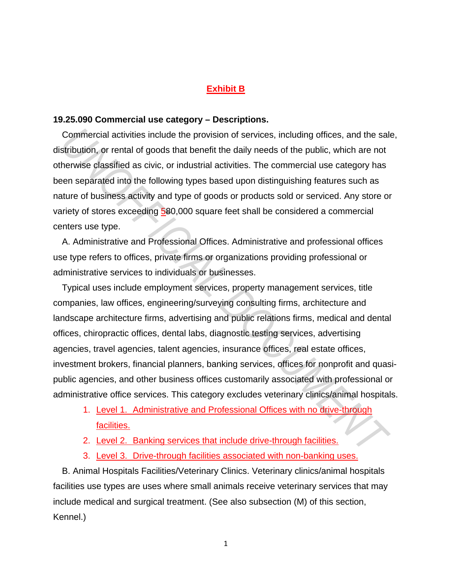## **Exhibit B**

#### **19.25.090 Commercial use category – Descriptions.**

Commercial activities include the provision of services, including offices, and the sale, distribution, or rental of goods that benefit the daily needs of the public, which are not otherwise classified as civic, or industrial activities. The commercial use category has been separated into the following types based upon distinguishing features such as nature of business activity and type of goods or products sold or serviced. Any store or variety of stores exceeding 580,000 square feet shall be considered a commercial centers use type.

A. Administrative and Professional Offices. Administrative and professional offices use type refers to offices, private firms or organizations providing professional or administrative services to individuals or businesses.

Typical uses include employment services, property management services, title companies, law offices, engineering/surveying consulting firms, architecture and landscape architecture firms, advertising and public relations firms, medical and dental offices, chiropractic offices, dental labs, diagnostic testing services, advertising agencies, travel agencies, talent agencies, insurance offices, real estate offices, investment brokers, financial planners, banking services, offices for nonprofit and quasipublic agencies, and other business offices customarily associated with professional or administrative office services. This category excludes veterinary clinics/animal hospitals. **Commercial activities include the provision of services, including offices, and the saltribution, or rental of goods that benefit the daily needs of the public, which are not benefit as civic, or industrial activities. Th** 

- 1. Level 1. Administrative and Professional Offices with no drive-through facilities.
- 2. Level 2. Banking services that include drive-through facilities.
- 3. Level 3. Drive-through facilities associated with non-banking uses.

B. Animal Hospitals Facilities/Veterinary Clinics. Veterinary clinics/animal hospitals facilities use types are uses where small animals receive veterinary services that may include medical and surgical treatment. (See also subsection (M) of this section, Kennel.)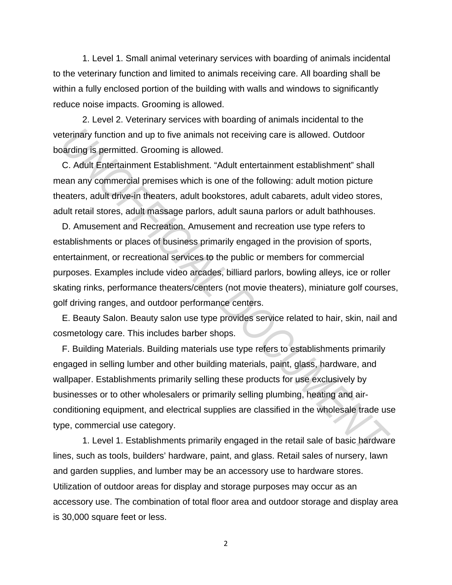1. Level 1. Small animal veterinary services with boarding of animals incidental to the veterinary function and limited to animals receiving care. All boarding shall be within a fully enclosed portion of the building with walls and windows to significantly reduce noise impacts. Grooming is allowed.

2. Level 2. Veterinary services with boarding of animals incidental to the veterinary function and up to five animals not receiving care is allowed. Outdoor boarding is permitted. Grooming is allowed.

C. Adult Entertainment Establishment. "Adult entertainment establishment" shall mean any commercial premises which is one of the following: adult motion picture theaters, adult drive-in theaters, adult bookstores, adult cabarets, adult video stores, adult retail stores, adult massage parlors, adult sauna parlors or adult bathhouses.

D. Amusement and Recreation. Amusement and recreation use type refers to establishments or places of business primarily engaged in the provision of sports, entertainment, or recreational services to the public or members for commercial purposes. Examples include video arcades, billiard parlors, bowling alleys, ice or roller skating rinks, performance theaters/centers (not movie theaters), miniature golf courses, golf driving ranges, and outdoor performance centers. **Example 10** the animals not receiving care is allowed. Outdoor<br> **C.** Adult Entertainment Establishment." Adult entertainment establishment" shall<br>
c. Adult Entertainment Establishment. "Adult entertainment establishment"

E. Beauty Salon. Beauty salon use type provides service related to hair, skin, nail and cosmetology care. This includes barber shops.

F. Building Materials. Building materials use type refers to establishments primarily engaged in selling lumber and other building materials, paint, glass, hardware, and wallpaper. Establishments primarily selling these products for use exclusively by businesses or to other wholesalers or primarily selling plumbing, heating and airconditioning equipment, and electrical supplies are classified in the wholesale trade use type, commercial use category.

1. Level 1. Establishments primarily engaged in the retail sale of basic hardware lines, such as tools, builders' hardware, paint, and glass. Retail sales of nursery, lawn and garden supplies, and lumber may be an accessory use to hardware stores. Utilization of outdoor areas for display and storage purposes may occur as an accessory use. The combination of total floor area and outdoor storage and display area is 30,000 square feet or less.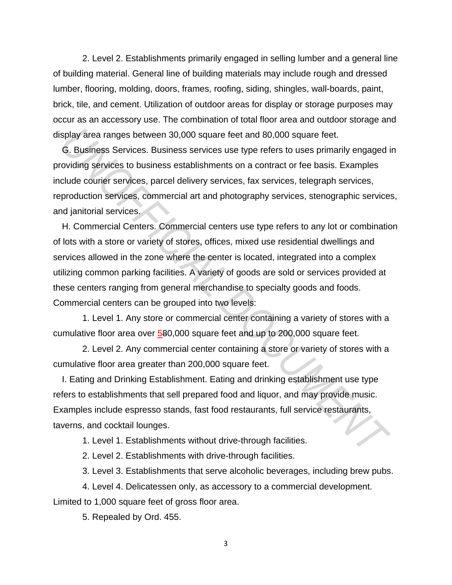2. Level 2. Establishments primarily engaged in selling lumber and a general line of building material. General line of building materials may include rough and dressed lumber, flooring, molding, doors, frames, roofing, siding, shingles, wall-boards, paint, brick, tile, and cement. Utilization of outdoor areas for display or storage purposes may occur as an accessory use. The combination of total floor area and outdoor storage and display area ranges between 30,000 square feet and 80,000 square feet.

G. Business Services. Business services use type refers to uses primarily engaged in providing services to business establishments on a contract or fee basis. Examples include courier services, parcel delivery services, fax services, telegraph services, reproduction services, commercial art and photography services, stenographic services, and janitorial services.

H. Commercial Centers. Commercial centers use type refers to any lot or combination of lots with a store or variety of stores, offices, mixed use residential dwellings and services allowed in the zone where the center is located, integrated into a complex utilizing common parking facilities. A variety of goods are sold or services provided at these centers ranging from general merchandise to specialty goods and foods. Commercial centers can be grouped into two levels: **Splay area ranges between 30,000 square feet and 80,000 square feet.<br>
<b>G. Business Services.** Business services use type refers to uses primarily engaged in<br>
Comparison Services, Dusiness establishments on a contract or f

1. Level 1. Any store or commercial center containing a variety of stores with a cumulative floor area over 580,000 square feet and up to 200,000 square feet.

2. Level 2. Any commercial center containing a store or variety of stores with a cumulative floor area greater than 200,000 square feet.

I. Eating and Drinking Establishment. Eating and drinking establishment use type refers to establishments that sell prepared food and liquor, and may provide music. Examples include espresso stands, fast food restaurants, full service restaurants, taverns, and cocktail lounges.

1. Level 1. Establishments without drive-through facilities.

2. Level 2. Establishments with drive-through facilities.

3. Level 3. Establishments that serve alcoholic beverages, including brew pubs.

4. Level 4. Delicatessen only, as accessory to a commercial development. Limited to 1,000 square feet of gross floor area.

5. Repealed by Ord. 455.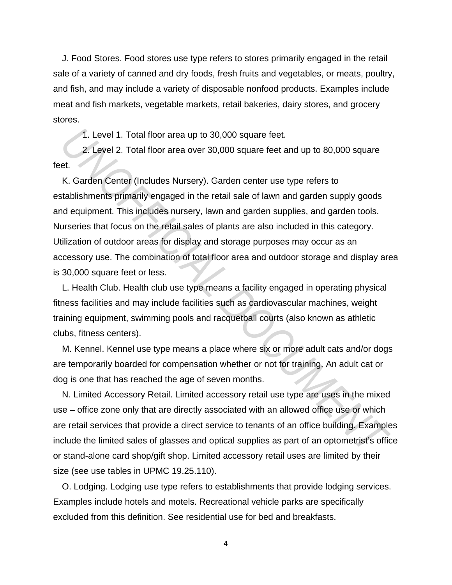J. Food Stores. Food stores use type refers to stores primarily engaged in the retail sale of a variety of canned and dry foods, fresh fruits and vegetables, or meats, poultry, and fish, and may include a variety of disposable nonfood products. Examples include meat and fish markets, vegetable markets, retail bakeries, dairy stores, and grocery stores.

1. Level 1. Total floor area up to 30,000 square feet.

2. Level 2. Total floor area over 30,000 square feet and up to 80,000 square feet.

K. Garden Center (Includes Nursery). Garden center use type refers to establishments primarily engaged in the retail sale of lawn and garden supply goods and equipment. This includes nursery, lawn and garden supplies, and garden tools. Nurseries that focus on the retail sales of plants are also included in this category. Utilization of outdoor areas for display and storage purposes may occur as an accessory use. The combination of total floor area and outdoor storage and display area is 30,000 square feet or less. 1. Level 1. Total floor area up to 30,000 square feet.<br>
2. Level 2. Total floor area over 30,000 square feet and up to 80,000 square<br> *Et.*<br> *K.* Garden Center (Includes Nursery). Garden center use type refers to<br> *K.* Gar

L. Health Club. Health club use type means a facility engaged in operating physical fitness facilities and may include facilities such as cardiovascular machines, weight training equipment, swimming pools and racquetball courts (also known as athletic clubs, fitness centers).

M. Kennel. Kennel use type means a place where six or more adult cats and/or dogs are temporarily boarded for compensation whether or not for training. An adult cat or dog is one that has reached the age of seven months.

N. Limited Accessory Retail. Limited accessory retail use type are uses in the mixed use – office zone only that are directly associated with an allowed office use or which are retail services that provide a direct service to tenants of an office building. Examples include the limited sales of glasses and optical supplies as part of an optometrist's office or stand-alone card shop/gift shop. Limited accessory retail uses are limited by their size (see use tables in UPMC 19.25.110).

O. Lodging. Lodging use type refers to establishments that provide lodging services. Examples include hotels and motels. Recreational vehicle parks are specifically excluded from this definition. See residential use for bed and breakfasts.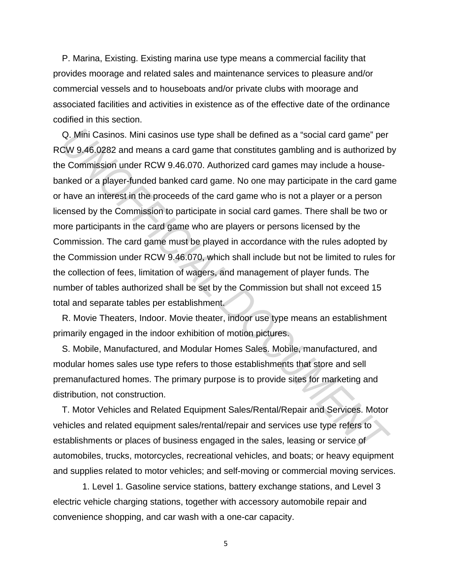P. Marina, Existing. Existing marina use type means a commercial facility that provides moorage and related sales and maintenance services to pleasure and/or commercial vessels and to houseboats and/or private clubs with moorage and associated facilities and activities in existence as of the effective date of the ordinance codified in this section.

Q. Mini Casinos. Mini casinos use type shall be defined as a "social card game" per RCW 9.46.0282 and means a card game that constitutes gambling and is authorized by the Commission under RCW 9.46.070. Authorized card games may include a housebanked or a player-funded banked card game. No one may participate in the card game or have an interest in the proceeds of the card game who is not a player or a person licensed by the Commission to participate in social card games. There shall be two or more participants in the card game who are players or persons licensed by the Commission. The card game must be played in accordance with the rules adopted by the Commission under RCW 9.46.070, which shall include but not be limited to rules for the collection of fees, limitation of wagers, and management of player funds. The number of tables authorized shall be set by the Commission but shall not exceed 15 total and separate tables per establishment. Q. Mini Casinos. Mini casinos use type shall be defined as a "social card game" per CW 9.46.0282 and means a card game that constitutes gambling and is authorized to Commission under RCW 9.46.070. Authorized card games may

R. Movie Theaters, Indoor. Movie theater, indoor use type means an establishment primarily engaged in the indoor exhibition of motion pictures.

S. Mobile, Manufactured, and Modular Homes Sales. Mobile, manufactured, and modular homes sales use type refers to those establishments that store and sell premanufactured homes. The primary purpose is to provide sites for marketing and distribution, not construction.

T. Motor Vehicles and Related Equipment Sales/Rental/Repair and Services. Motor vehicles and related equipment sales/rental/repair and services use type refers to establishments or places of business engaged in the sales, leasing or service of automobiles, trucks, motorcycles, recreational vehicles, and boats; or heavy equipment and supplies related to motor vehicles; and self-moving or commercial moving services.

1. Level 1. Gasoline service stations, battery exchange stations, and Level 3 electric vehicle charging stations, together with accessory automobile repair and convenience shopping, and car wash with a one-car capacity.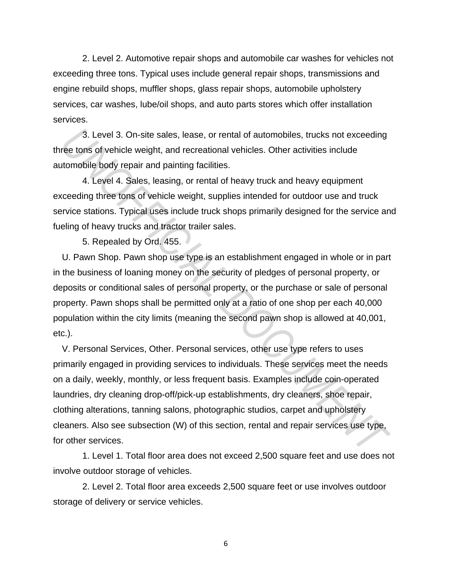2. Level 2. Automotive repair shops and automobile car washes for vehicles not exceeding three tons. Typical uses include general repair shops, transmissions and engine rebuild shops, muffler shops, glass repair shops, automobile upholstery services, car washes, lube/oil shops, and auto parts stores which offer installation services.

3. Level 3. On-site sales, lease, or rental of automobiles, trucks not exceeding three tons of vehicle weight, and recreational vehicles. Other activities include automobile body repair and painting facilities.

4. Level 4. Sales, leasing, or rental of heavy truck and heavy equipment exceeding three tons of vehicle weight, supplies intended for outdoor use and truck service stations. Typical uses include truck shops primarily designed for the service and fueling of heavy trucks and tractor trailer sales.

5. Repealed by Ord. 455.

U. Pawn Shop. Pawn shop use type is an establishment engaged in whole or in part in the business of loaning money on the security of pledges of personal property, or deposits or conditional sales of personal property, or the purchase or sale of personal property. Pawn shops shall be permitted only at a ratio of one shop per each 40,000 population within the city limits (meaning the second pawn shop is allowed at 40,001, etc.).

V. Personal Services, Other. Personal services, other use type refers to uses primarily engaged in providing services to individuals. These services meet the needs on a daily, weekly, monthly, or less frequent basis. Examples include coin-operated laundries, dry cleaning drop-off/pick-up establishments, dry cleaners, shoe repair, clothing alterations, tanning salons, photographic studios, carpet and upholstery cleaners. Also see subsection (W) of this section, rental and repair services use type, for other services. 3. Level 3. On-site sales, lease, or rental of automobiles, trucks not exceeding<br>ree tons of vehicle weight, and recreational vehicles. Other activities include<br>tromobile body repair and painting facilities.<br>4. Level 4. Sa

1. Level 1. Total floor area does not exceed 2,500 square feet and use does not involve outdoor storage of vehicles.

2. Level 2. Total floor area exceeds 2,500 square feet or use involves outdoor storage of delivery or service vehicles.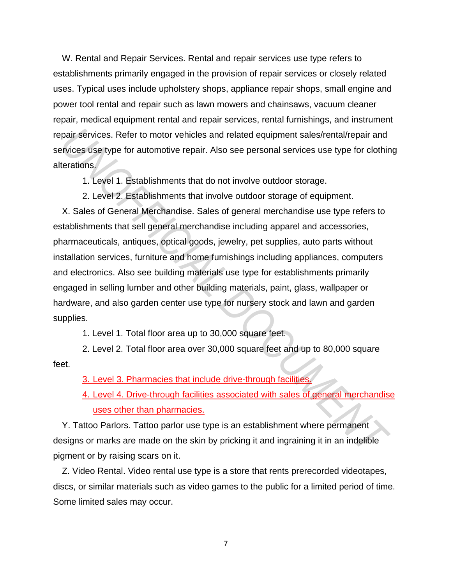W. Rental and Repair Services. Rental and repair services use type refers to establishments primarily engaged in the provision of repair services or closely related uses. Typical uses include upholstery shops, appliance repair shops, small engine and power tool rental and repair such as lawn mowers and chainsaws, vacuum cleaner repair, medical equipment rental and repair services, rental furnishings, and instrument repair services. Refer to motor vehicles and related equipment sales/rental/repair and services use type for automotive repair. Also see personal services use type for clothing alterations.

1. Level 1. Establishments that do not involve outdoor storage.

2. Level 2. Establishments that involve outdoor storage of equipment.

X. Sales of General Merchandise. Sales of general merchandise use type refers to establishments that sell general merchandise including apparel and accessories, pharmaceuticals, antiques, optical goods, jewelry, pet supplies, auto parts without installation services, furniture and home furnishings including appliances, computers and electronics. Also see building materials use type for establishments primarily engaged in selling lumber and other building materials, paint, glass, wallpaper or hardware, and also garden center use type for nursery stock and lawn and garden supplies. pair services. Refer to motor vehicles and related equipment sales/rental/repair and<br>ervices use type for automotive repair. Also see personal services use type for clothir<br>terations.<br>1. Level 1. Establishments that do not

1. Level 1. Total floor area up to 30,000 square feet.

2. Level 2. Total floor area over 30,000 square feet and up to 80,000 square feet.

3. Level 3. Pharmacies that include drive-through facilities.

4. Level 4. Drive-through facilities associated with sales of general merchandise uses other than pharmacies.

Y. Tattoo Parlors. Tattoo parlor use type is an establishment where permanent designs or marks are made on the skin by pricking it and ingraining it in an indelible pigment or by raising scars on it.

Z. Video Rental. Video rental use type is a store that rents prerecorded videotapes, discs, or similar materials such as video games to the public for a limited period of time. Some limited sales may occur.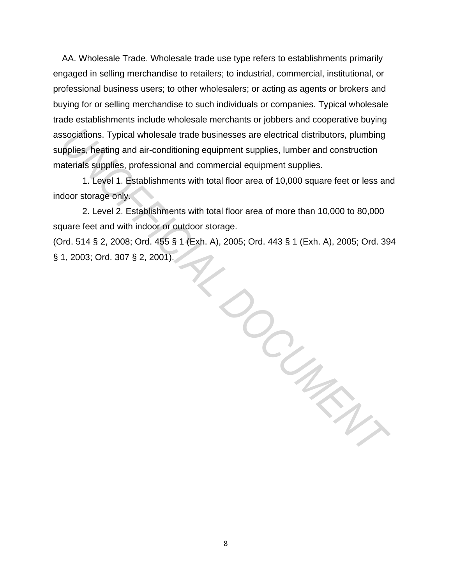AA. Wholesale Trade. Wholesale trade use type refers to establishments primarily engaged in selling merchandise to retailers; to industrial, commercial, institutional, or professional business users; to other wholesalers; or acting as agents or brokers and buying for or selling merchandise to such individuals or companies. Typical wholesale trade establishments include wholesale merchants or jobbers and cooperative buying associations. Typical wholesale trade businesses are electrical distributors, plumbing supplies, heating and air-conditioning equipment supplies, lumber and construction materials supplies, professional and commercial equipment supplies.

1. Level 1. Establishments with total floor area of 10,000 square feet or less and indoor storage only.

2. Level 2. Establishments with total floor area of more than 10,000 to 80,000 square feet and with indoor or outdoor storage.

(Ord. 514 § 2, 2008; Ord. 455 § 1 (Exh. A), 2005; Ord. 443 § 1 (Exh. A), 2005; Ord. 394 § 1, 2003; Ord. 307 § 2, 2001).

*UNOFFICIAL DOCUMENT*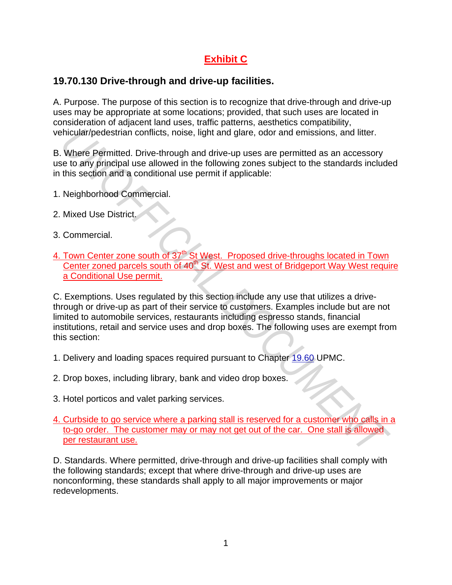# **Exhibit C**

## **19.70.130 Drive-through and drive-up facilities.**

A. Purpose. The purpose of this section is to recognize that drive-through and drive-up uses may be appropriate at some locations; provided, that such uses are located in consideration of adjacent land uses, traffic patterns, aesthetics compatibility, vehicular/pedestrian conflicts, noise, light and glare, odor and emissions, and litter.

B. Where Permitted. Drive-through and drive-up uses are permitted as an accessory use to any principal use allowed in the following zones subject to the standards included in this section and a conditional use permit if applicable:

- 1. Neighborhood Commercial.
- 2. Mixed Use District.
- 3. Commercial.
- 4. Town Center zone south of 37<sup>th</sup> St West. Proposed drive-throughs located in Town Center zoned parcels south of 40<sup>th</sup> St. West and west of Bridgeport Way West require a Conditional Use permit.

C. Exemptions. Uses regulated by this section include any use that utilizes a drivethrough or drive-up as part of their service to customers. Examples include but are not limited to automobile services, restaurants including espresso stands, financial institutions, retail and service uses and drop boxes. The following uses are exempt from this section: **Example 20** and litter, the set of the current metallic in the current metallic in the current of the current of the current of the current of the standards include the standards include in the following zones subject to

- 1. Delivery and loading spaces required pursuant to Chapter 19.60 UPMC.
- 2. Drop boxes, including library, bank and video drop boxes.
- 3. Hotel porticos and valet parking services.

## 4. Curbside to go service where a parking stall is reserved for a customer who calls in a to-go order. The customer may or may not get out of the car. One stall is allowed per restaurant use.

D. Standards. Where permitted, drive-through and drive-up facilities shall comply with the following standards; except that where drive-through and drive-up uses are nonconforming, these standards shall apply to all major improvements or major redevelopments.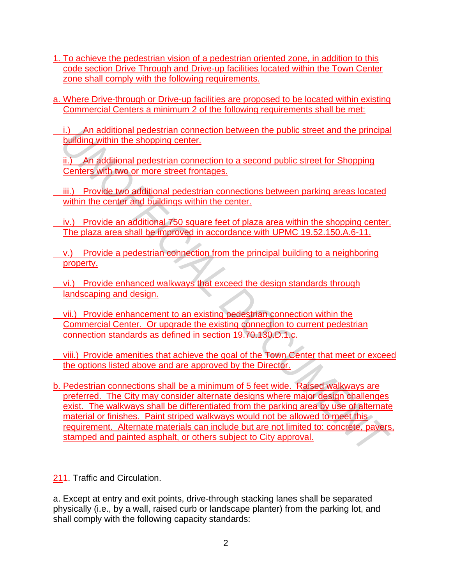- 1. To achieve the pedestrian vision of a pedestrian oriented zone, in addition to this code section Drive Through and Drive-up facilities located within the Town Center zone shall comply with the following requirements.
- a. Where Drive-through or Drive-up facilities are proposed to be located within existing Commercial Centers a minimum 2 of the following requirements shall be met:
- i.) An additional pedestrian connection between the public street and the principal building within the shopping center.

ii.) An additional pedestrian connection to a second public street for Shopping Centers with two or more street frontages.

- iii.) Provide two additional pedestrian connections between parking areas located within the center and buildings within the center.
- iv.) Provide an additional 750 square feet of plaza area within the shopping center. The plaza area shall be improved in accordance with UPMC 19.52.150.A.6-11.
- v.) Provide a pedestrian connection from the principal building to a neighboring property.
- vi.) Provide enhanced walkways that exceed the design standards through landscaping and design.
- vii.) Provide enhancement to an existing pedestrian connection within the Commercial Center. Or upgrade the existing connection to current pedestrian connection standards as defined in section 19.70.130.D.1.c.
- viii.) Provide amenities that achieve the goal of the Town Center that meet or exceed the options listed above and are approved by the Director.
- b. Pedestrian connections shall be a minimum of 5 feet wide. Raised walkways are preferred. The City may consider alternate designs where major design challenges exist. The walkways shall be differentiated from the parking area by use of alternate material or finishes. Paint striped walkways would not be allowed to meet this requirement. Alternate materials can include but are not limited to: concrete, pavers, stamped and painted asphalt, or others subject to City approval. *i*. An additional pedestrian connection between the public street and the principal<br>
<u>Building within the shopping</u> center.<br>
<u>ii.) An additional pedestrian connection to a second public street for Shopping<br>
Centers with </u>
- 244. Traffic and Circulation.

a. Except at entry and exit points, drive-through stacking lanes shall be separated physically (i.e., by a wall, raised curb or landscape planter) from the parking lot, and shall comply with the following capacity standards: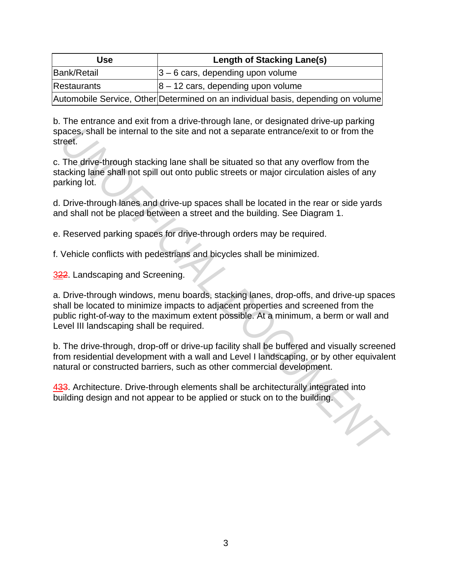| Use.        | <b>Length of Stacking Lane(s)</b>                                                |
|-------------|----------------------------------------------------------------------------------|
| Bank/Retail | $ 3 - 6$ cars, depending upon volume                                             |
| Restaurants | $ 8 - 12$ cars, depending upon volume                                            |
|             | Automobile Service, Other Determined on an individual basis, depending on volume |

b. The entrance and exit from a drive-through lane, or designated drive-up parking spaces, shall be internal to the site and not a separate entrance/exit to or from the street.

c. The drive-through stacking lane shall be situated so that any overflow from the stacking lane shall not spill out onto public streets or major circulation aisles of any parking lot.

d. Drive-through lanes and drive-up spaces shall be located in the rear or side yards and shall not be placed between a street and the building. See Diagram 1.

e. Reserved parking spaces for drive-through orders may be required.

f. Vehicle conflicts with pedestrians and bicycles shall be minimized.

322. Landscaping and Screening.

a. Drive-through windows, menu boards, stacking lanes, drop-offs, and drive-up spaces shall be located to minimize impacts to adjacent properties and screened from the public right-of-way to the maximum extent possible. At a minimum, a berm or wall and Level III landscaping shall be required. acces, shall be internal to the site and not a separate entrance/exit to or from the refet.<br>
The drive-through stacking lane shall be situated so that any overflow from the acking lane shall not spill out onto public stree

b. The drive-through, drop-off or drive-up facility shall be buffered and visually screened from residential development with a wall and Level I landscaping, or by other equivalent natural or constructed barriers, such as other commercial development.

433. Architecture. Drive-through elements shall be architecturally integrated into building design and not appear to be applied or stuck on to the building.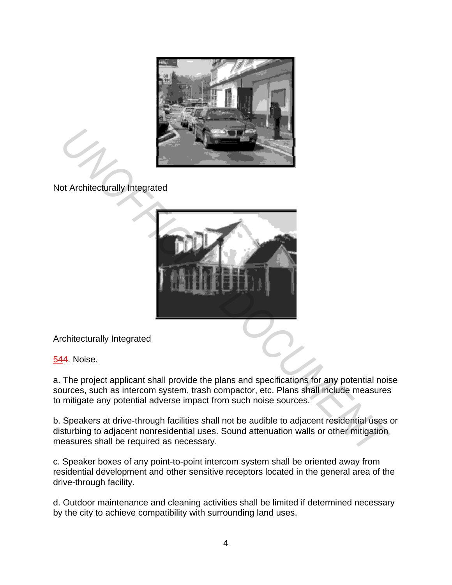

Not Architecturally Integrated



Architecturally Integrated

544. Noise.

a. The project applicant shall provide the plans and specifications for any potential noise sources, such as intercom system, trash compactor, etc. Plans shall include measures to mitigate any potential adverse impact from such noise sources.

b. Speakers at drive-through facilities shall not be audible to adjacent residential uses or disturbing to adjacent nonresidential uses. Sound attenuation walls or other mitigation measures shall be required as necessary.

c. Speaker boxes of any point-to-point intercom system shall be oriented away from residential development and other sensitive receptors located in the general area of the drive-through facility.

d. Outdoor maintenance and cleaning activities shall be limited if determined necessary by the city to achieve compatibility with surrounding land uses.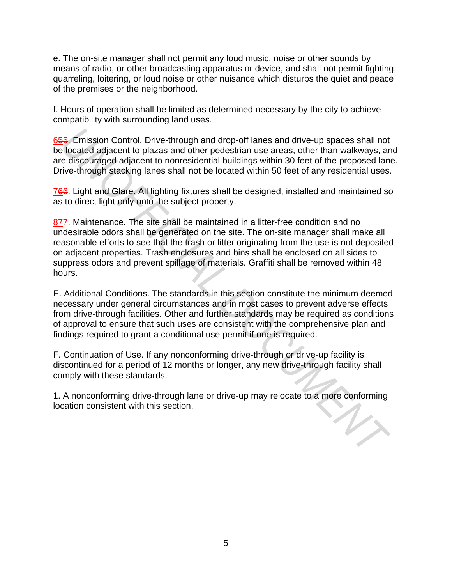e. The on-site manager shall not permit any loud music, noise or other sounds by means of radio, or other broadcasting apparatus or device, and shall not permit fighting, quarreling, loitering, or loud noise or other nuisance which disturbs the quiet and peace of the premises or the neighborhood.

f. Hours of operation shall be limited as determined necessary by the city to achieve compatibility with surrounding land uses.

655. Emission Control. Drive-through and drop-off lanes and drive-up spaces shall not be located adjacent to plazas and other pedestrian use areas, other than walkways, and are discouraged adjacent to nonresidential buildings within 30 feet of the proposed lane. Drive-through stacking lanes shall not be located within 50 feet of any residential uses.

766. Light and Glare. All lighting fixtures shall be designed, installed and maintained so as to direct light only onto the subject property.

877. Maintenance. The site shall be maintained in a litter-free condition and no undesirable odors shall be generated on the site. The on-site manager shall make all reasonable efforts to see that the trash or litter originating from the use is not deposited on adjacent properties. Trash enclosures and bins shall be enclosed on all sides to suppress odors and prevent spillage of materials. Graffiti shall be removed within 48 hours. **Example 10** and drop-off lanes and drive-up spaces shall not located adjacent to plazas and other pedestrian use areas, other than walkways, are discouraged adjacent to nonresidential buildings within 30 feet of the propo

E. Additional Conditions. The standards in this section constitute the minimum deemed necessary under general circumstances and in most cases to prevent adverse effects from drive-through facilities. Other and further standards may be required as conditions of approval to ensure that such uses are consistent with the comprehensive plan and findings required to grant a conditional use permit if one is required.

F. Continuation of Use. If any nonconforming drive-through or drive-up facility is discontinued for a period of 12 months or longer, any new drive-through facility shall comply with these standards.

1. A nonconforming drive-through lane or drive-up may relocate to a more conforming location consistent with this section.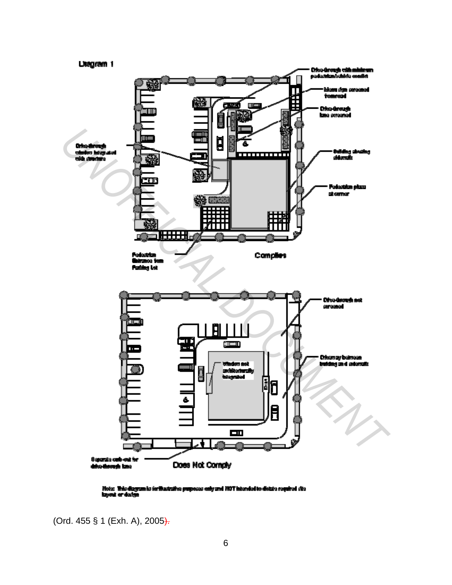

Hotes. This diagram is forthwisteline proposes only and HOT intended to distate required site.<br>Izonal or design

(Ord. 455 § 1 (Exh. A), 2005).